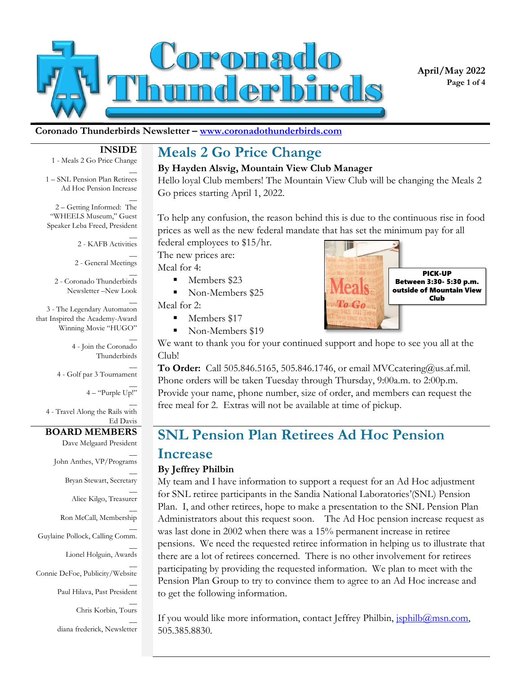

**April/May 2022 Page 1 of 4**

#### **Coronado Thunderbirds Newsletter – www.coronadothunderbirds.com**

#### **INSIDE**

 $\overline{a}$ 

 $\overline{a}$ 

1 - Meals 2 Go Price Change

1 – SNL Pension Plan Retirees Ad Hoc Pension Increase

 $\overline{a}$ 2 – Getting Informed: The "WHEELS Museum," Guest Speaker Leba Freed, President

> $\overline{a}$ 2 - KAFB Activities

2 - General Meetings

 $\overline{a}$ 2 - Coronado Thunderbirds Newsletter –New Look

 $\overline{a}$ 3 - The Legendary Automaton that Inspired the Academy-Award Winning Movie "HUGO"

> $\overline{a}$ 4 - Join the Coronado Thunderbirds

 $\overline{a}$ 4 - Golf par 3 Tournament

4 – "Purple Up!"

 $\overline{a}$ 

 $\overline{a}$ 

 $\overline{a}$ 

 $\overline{a}$ 4 - Travel Along the Rails with Ed Davis

#### **BOARD MEMBERS**

Dave Melgaard President

 $\overline{a}$ John Anthes, VP/Programs

Bryan Stewart, Secretary

 $\overline{a}$ Alice Kilgo, Treasurer

 $\overline{a}$ Ron McCall, Membership

 $\overline{a}$ Guylaine Pollock, Calling Comm.

> $\overline{a}$ Lionel Holguin, Awards

 $\overline{a}$ Connie DeFoe, Publicity/Website

Paul Hilava, Past President

 $\overline{a}$ Chris Korbin, Tours

 $\overline{a}$ diana frederick, Newsletter

## **Meals 2 Go Price Change**

#### **By Hayden Alsvig, Mountain View Club Manager**

Hello loyal Club members! The Mountain View Club will be changing the Meals 2 Go prices starting April 1, 2022.

To help any confusion, the reason behind this is due to the continuous rise in food prices as well as the new federal mandate that has set the minimum pay for all

federal employees to \$15/hr. The new prices are:

Meal for 4:

- Members \$23
- Non-Members \$25

Meal for 2:

- Members \$17
- Non-Members \$19



We want to thank you for your continued support and hope to see you all at the Club!

**To Order:** Call 505.846.5165, 505.846.1746, or email MVCcatering@us.af.mil. Phone orders will be taken Tuesday through Thursday, 9:00a.m. to 2:00p.m. Provide your name, phone number, size of order, and members can request the free meal for 2. Extras will not be available at time of pickup.

## **SNL Pension Plan Retirees Ad Hoc Pension Increase**

#### **By Jeffrey Philbin**

My team and I have information to support a request for an Ad Hoc adjustment for SNL retiree participants in the Sandia National Laboratories'(SNL) Pension Plan. I, and other retirees, hope to make a presentation to the SNL Pension Plan Administrators about this request soon. The Ad Hoc pension increase request as was last done in 2002 when there was a 15% permanent increase in retiree pensions. We need the requested retiree information in helping us to illustrate that there are a lot of retirees concerned. There is no other involvement for retirees participating by providing the requested information. We plan to meet with the Pension Plan Group to try to convince them to agree to an Ad Hoc increase and to get the following information.

If you would like more information, contact Jeffrey Philbin, *sphilb@msn.com*, 505.385.8830.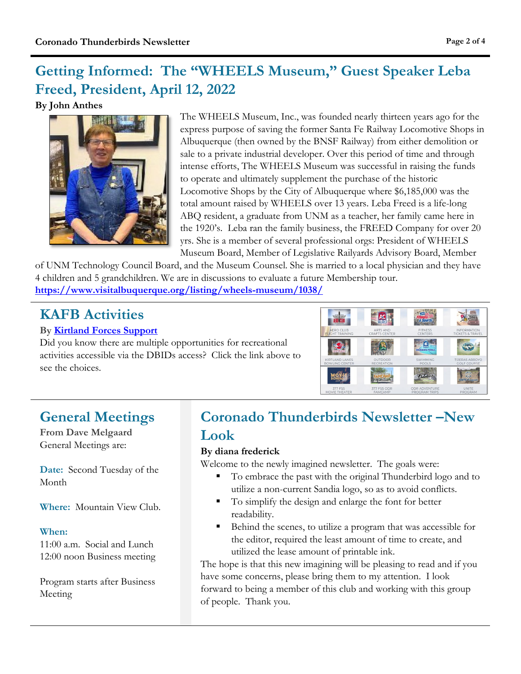## **Getting Informed: The "WHEELS Museum," Guest Speaker Leba Freed, President, April 12, 2022**

#### **By John Anthes**



The WHEELS Museum, Inc., was founded nearly thirteen years ago for the express purpose of saving the former Santa Fe Railway Locomotive Shops in Albuquerque (then owned by the BNSF Railway) from either demolition or sale to a private industrial developer. Over this period of time and through intense efforts, The WHEELS Museum was successful in raising the funds to operate and ultimately supplement the purchase of the historic Locomotive Shops by the City of Albuquerque where \$6,185,000 was the total amount raised by WHEELS over 13 years. Leba Freed is a life-long ABQ resident, a graduate from UNM as a teacher, her family came here in the 1920's. Leba ran the family business, the FREED Company for over 20 yrs. She is a member of several professional orgs: President of WHEELS Museum Board, Member of Legislative Railyards Advisory Board, Member

of UNM Technology Council Board, and the Museum Counsel. She is married to a local physician and they have 4 children and 5 grandchildren. We are in discussions to evaluate a future Membership tour. **<https://www.visitalbuquerque.org/listing/wheels-museum/1038/>**

## **KAFB Activities**

#### **By [Kirtland Forces Support](https://kirtlandforcesupport.com/recreation/)**

Did you know there are multiple opportunities for recreational activities accessible via the DBIDs access? Click the link above to see the choices.



## **General Meetings**

**From Dave Melgaard** General Meetings are:

**Date:** Second Tuesday of the Month

**Where:** Mountain View Club.

#### **When:**

11:00 a.m. Social and Lunch 12:00 noon Business meeting

Program starts after Business Meeting

## **Coronado Thunderbirds Newsletter –New Look**

#### **By diana frederick**

Welcome to the newly imagined newsletter. The goals were:

- To embrace the past with the original Thunderbird logo and to utilize a non-current Sandia logo, so as to avoid conflicts.
- To simplify the design and enlarge the font for better readability.
- Behind the scenes, to utilize a program that was accessible for the editor, required the least amount of time to create, and utilized the lease amount of printable ink.

The hope is that this new imagining will be pleasing to read and if you have some concerns, please bring them to my attention. I look forward to being a member of this club and working with this group of people. Thank you.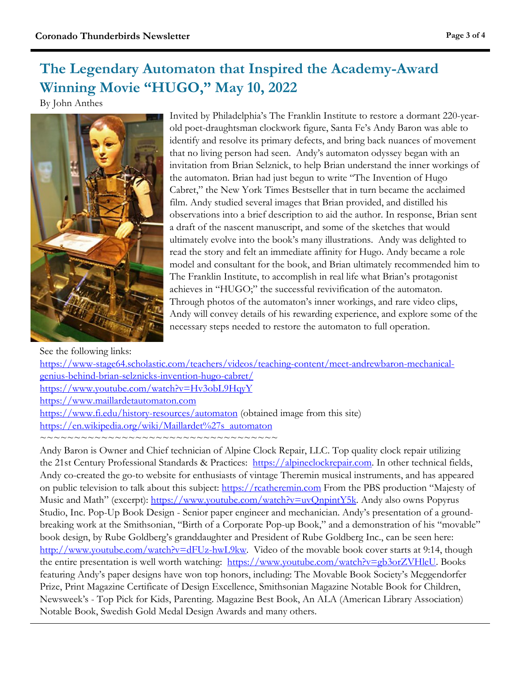## **The Legendary Automaton that Inspired the Academy-Award Winning Movie "HUGO," May 10, 2022**

By John Anthes



Invited by Philadelphia's The Franklin Institute to restore a dormant 220-yearold poet-draughtsman clockwork figure, Santa Fe's Andy Baron was able to identify and resolve its primary defects, and bring back nuances of movement that no living person had seen. Andy's automaton odyssey began with an invitation from Brian Selznick, to help Brian understand the inner workings of the automaton. Brian had just begun to write "The Invention of Hugo Cabret," the New York Times Bestseller that in turn became the acclaimed film. Andy studied several images that Brian provided, and distilled his observations into a brief description to aid the author. In response, Brian sent a draft of the nascent manuscript, and some of the sketches that would ultimately evolve into the book's many illustrations. Andy was delighted to read the story and felt an immediate affinity for Hugo. Andy became a role model and consultant for the book, and Brian ultimately recommended him to The Franklin Institute, to accomplish in real life what Brian's protagonist achieves in "HUGO;" the successful revivification of the automaton. Through photos of the automaton's inner workings, and rare video clips, Andy will convey details of his rewarding experience, and explore some of the necessary steps needed to restore the automaton to full operation.

See the following links:

[https://www-stage64.scholastic.com/teachers/videos/teaching-content/meet-andrewbaron-mechanical](https://www-stage64.scholastic.com/teachers/videos/teaching-content/meet-andrewbaron-mechanical-genius-behind-brian-selznicks-invention-hugo-cabret/)[genius-behind-brian-selznicks-invention-hugo-cabret/](https://www-stage64.scholastic.com/teachers/videos/teaching-content/meet-andrewbaron-mechanical-genius-behind-brian-selznicks-invention-hugo-cabret/)  <https://www.youtube.com/watch?v=Hv3obL9HqyY>

[https://www.maillardetautomaton.com](https://www.maillardetautomaton.com/) 

<https://www.fi.edu/history-resources/automaton>(obtained image from this site) [https://en.wikipedia.org/wiki/Maillardet%27s\\_automaton](https://en.wikipedia.org/wiki/Maillardet%27s_automaton) 

~~~~~~~~~~~~~~~~~~~~~~~~~~~~~~~~~~

Andy Baron is Owner and Chief technician of Alpine Clock Repair, LLC. Top quality clock repair utilizing the 21st Century Professional Standards & Practices: [https://alpineclockrepair.com.](https://alpineclockrepair.com/) In other technical fields, Andy co-created the go-to website for enthusiasts of vintage Theremin musical instruments, and has appeared on public television to talk about this subject: [https://rcatheremin.com](https://rcatheremin.com/) From the PBS production "Majesty of Music and Math" (excerpt): [https://www.youtube.com/watch?v=uvQnpintY5k.](https://www.youtube.com/watch?v=uvQnpintY5k) Andy also owns Popyrus Studio, Inc. Pop-Up Book Design - Senior paper engineer and mechanician. Andy's presentation of a groundbreaking work at the Smithsonian, "Birth of a Corporate Pop-up Book," and a demonstration of his "movable" book design, by Rube Goldberg's granddaughter and President of Rube Goldberg Inc., can be seen here: [http://www.youtube.com/watch?v=dFUz-hwL9kw.](http://www.youtube.com/watch?v=dFUz-hwL9kw) Video of the movable book cover starts at 9:14, though the entire presentation is well worth watching: [https://www.youtube.com/watch?v=gb3orZVHleU.](https://www.youtube.com/watch?v=gb3orZVHleU) Books featuring Andy's paper designs have won top honors, including: The Movable Book Society's Meggendorfer Prize, Print Magazine Certificate of Design Excellence, Smithsonian Magazine Notable Book for Children, Newsweek's - Top Pick for Kids, Parenting. Magazine Best Book, An ALA (American Library Association) Notable Book, Swedish Gold Medal Design Awards and many others.